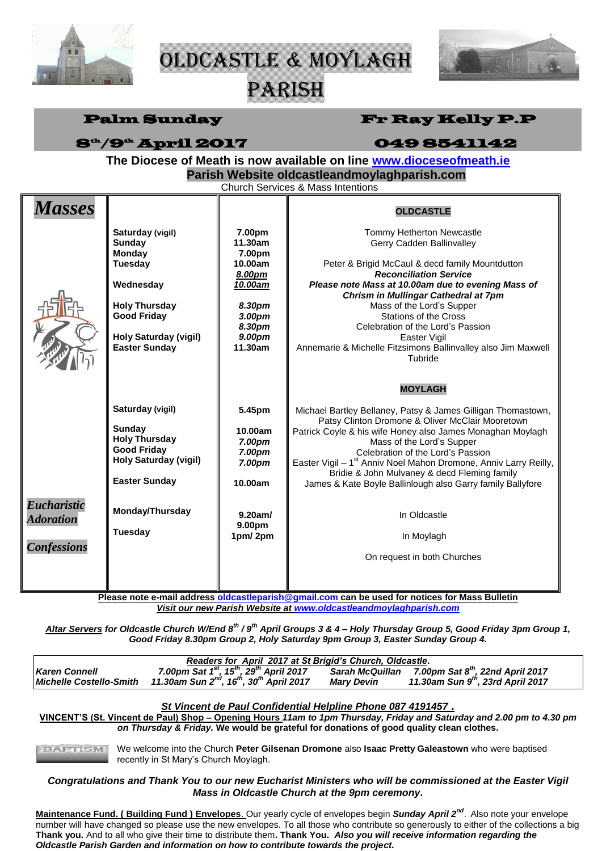

Oldcastle & Moylagh



# PARISH

| <b>Palm Sunday</b>                                                                                                                                                                                              |                                                                                                                                                                                  |                                                                                                                | <b>Fr Ray Kelly P.P</b>                                                                                                                                                                                                                                                                                                                                                                                                                                                                                                                                                                                              |  |  |  |
|-----------------------------------------------------------------------------------------------------------------------------------------------------------------------------------------------------------------|----------------------------------------------------------------------------------------------------------------------------------------------------------------------------------|----------------------------------------------------------------------------------------------------------------|----------------------------------------------------------------------------------------------------------------------------------------------------------------------------------------------------------------------------------------------------------------------------------------------------------------------------------------------------------------------------------------------------------------------------------------------------------------------------------------------------------------------------------------------------------------------------------------------------------------------|--|--|--|
| <b>8th /9th April 2017</b><br>0498541142<br>The Diocese of Meath is now available on line www.dioceseofmeath.ie<br>Parish Website oldcastleandmoylaghparish.com<br><b>Church Services &amp; Mass Intentions</b> |                                                                                                                                                                                  |                                                                                                                |                                                                                                                                                                                                                                                                                                                                                                                                                                                                                                                                                                                                                      |  |  |  |
| <b>Masses</b>                                                                                                                                                                                                   | Saturday (vigil)<br>Sunday<br><b>Monday</b><br><b>Tuesday</b><br>Wednesday<br><b>Holy Thursday</b><br><b>Good Friday</b><br><b>Holy Saturday (vigil)</b><br><b>Easter Sunday</b> | 7.00pm<br>11.30am<br>7.00pm<br>10.00am<br>8.00pm<br>10.00am<br>8.30pm<br>3.00pm<br>8.30pm<br>9.00pm<br>11.30am | <b>OLDCASTLE</b><br>Tommy Hetherton Newcastle<br>Gerry Cadden Ballinvalley<br>Peter & Brigid McCaul & decd family Mountdutton<br><b>Reconciliation Service</b><br>Please note Mass at 10.00am due to evening Mass of<br>Chrism in Mullingar Cathedral at 7pm<br>Mass of the Lord's Supper<br><b>Stations of the Cross</b><br>Celebration of the Lord's Passion<br>Easter Vigil<br>Annemarie & Michelle Fitzsimons Ballinvalley also Jim Maxwell<br>Tubride<br><b>MOYLAGH</b>                                                                                                                                         |  |  |  |
| <b>Eucharistic</b><br><b>Adoration</b><br><b>Confessions</b>                                                                                                                                                    | Saturday (vigil)<br>Sunday<br><b>Holy Thursday</b><br><b>Good Friday</b><br><b>Holy Saturday (vigil)</b><br><b>Easter Sunday</b><br>Monday/Thursday<br>Tuesday                   | 5.45pm<br>10.00am<br>7.00pm<br>7.00pm<br>7.00pm<br>10.00am<br>$9.20$ am/<br>9.00pm<br>1pm/2pm                  | Michael Bartley Bellaney, Patsy & James Gilligan Thomastown,<br>Patsy Clinton Dromone & Oliver McClair Mooretown<br>Patrick Coyle & his wife Honey also James Monaghan Moylagh<br>Mass of the Lord's Supper<br>Celebration of the Lord's Passion<br>Easter Vigil - 1 <sup>st</sup> Anniv Noel Mahon Dromone, Anniv Larry Reilly,<br>Bridie & John Mulvaney & decd Fleming family<br>James & Kate Boyle Ballinlough also Garry family Ballyfore<br>In Oldcastle<br>In Moylagh<br>On request in both Churches<br><u>Diesee note e-mail address oldcastienarish@amail com can be used for notices for Mass Rulletin</u> |  |  |  |

**Please note e-mail address [oldcastleparish@gmail.com](mailto:oldcastleparish@gmail.com) can be used for notices for Mass Bulletin** *Visit our new Parish Website at [www.oldcastleandmoylaghparish.com](http://www.oldcastleandmoylaghparish.com/)*

*Altar Servers for Oldcastle Church W/End 8 th / 9th April Groups 3 & 4 – Holy Thursday Group 5, Good Friday 3pm Group 1, Good Friday 8.30pm Group 2, Holy Saturday 9pm Group 3, Easter Sunday Group 4.*

| Readers for April 2017 at St Brigid's Church, Oldcastle. |                                                                              |                   |                                                              |  |  |  |
|----------------------------------------------------------|------------------------------------------------------------------------------|-------------------|--------------------------------------------------------------|--|--|--|
| <b>Karen Connell</b>                                     | 7.00pm Sat $1^{st}$ , 15 <sup>th</sup> , 29 <sup>th</sup> April 2017         |                   | Sarah McQuillan 7.00pm Sat 8 <sup>th</sup> , 22nd April 2017 |  |  |  |
| <b>Michelle Costello-Smith</b>                           | 11.30am Sun 2 <sup>nd</sup> , 16 <sup>th</sup> , 30 <sup>th</sup> April 2017 | <b>Mary Devin</b> | 11.30am Sun 9 <sup>th</sup> , 23rd April 2017                |  |  |  |

#### *St Vincent de Paul Confidential Helpline Phone 087 4191457 .*

**VINCENT'S (St. Vincent de Paul) Shop – Opening Hours** *11am to 1pm Thursday, Friday and Saturday and 2.00 pm to 4.30 pm on Thursday & Friday.* **We would be grateful for donations of good quality clean clothes.**

BAPTISM We welcome into the Church **Peter Gilsenan Dromone** also **Isaac Pretty Galeastown** who were baptised recently in St Mary's Church Moylagh.

## *Congratulations and Thank You to our new Eucharist Ministers who will be commissioned at the Easter Vigil Mass in Oldcastle Church at the 9pm ceremony.*

**Maintenance Fund. ( Building Fund ) Envelopes**. Our yearly cycle of envelopes begin *Sunday April 2nd* . Also note your envelope number will have changed so please use the new envelopes. To all those who contribute so generously to either of the collections a big **Thank you.** And to all who give their time to distribute them**. Thank You.** *Also you will receive information regarding the Oldcastle Parish Garden and information on how to contribute towards the project.*